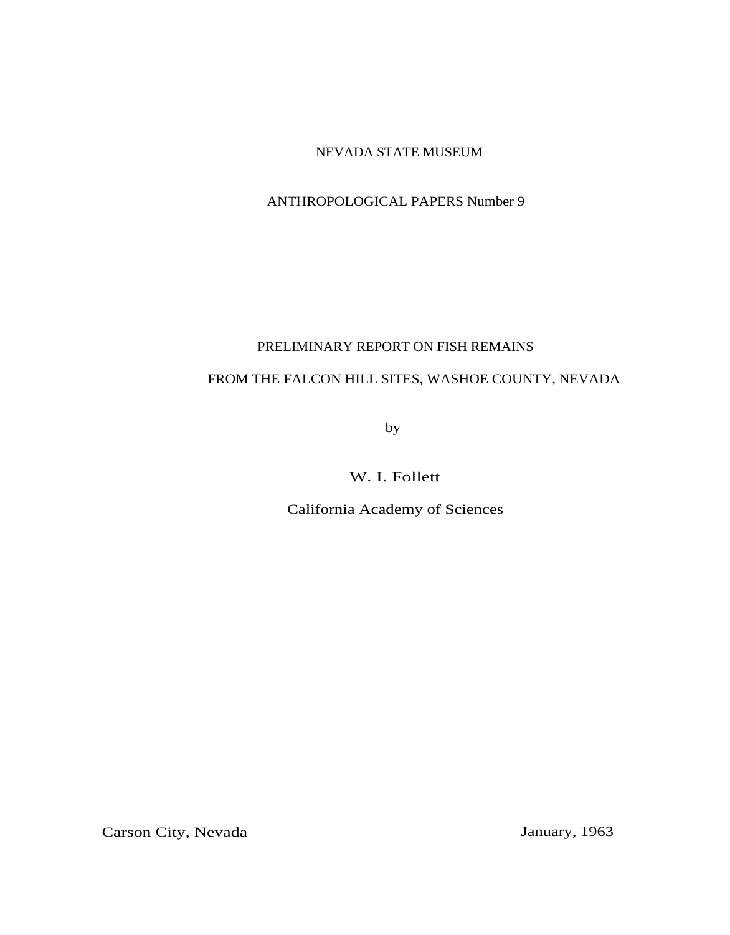## NEVADA STATE MUSEUM

## ANTHROPOLOGICAL PAPERS Number 9

### PRELIMINARY REPORT ON FISH REMAINS

# FROM THE FALCON HILL SITES, WASHOE COUNTY, NEVADA

by

W. I. Follett

California Academy of Sciences

Carson City, Nevada January, 1963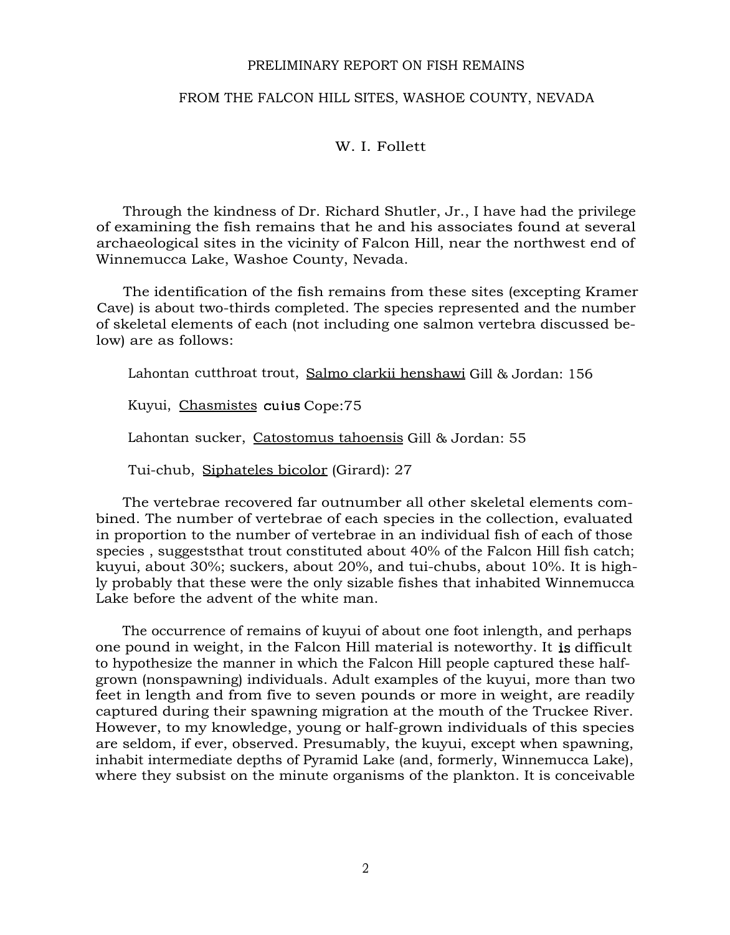#### PRELIMINARY REPORT ON FISH REMAINS

### FROM THE FALCON HILL SITES, WASHOE COUNTY, NEVADA

### W. I. Follett

Through the kindness of Dr. Richard Shutler, Jr., I have had the privilege of examining the fish remains that he and his associates found at several archaeological sites in the vicinity of Falcon Hill, near the northwest end of Winnemucca Lake, Washoe County, Nevada.

The identification of the fish remains from these sites (excepting Kramer Cave) is about two-thirds completed. The species represented and the number of skeletal elements of each (not including one salmon vertebra discussed below) are as follows:

Lahontan cutthroat trout, Salmo clarkii henshawiGill & Jordan: 156

Kuyui, Chasmistes cuius Cope:75

Lahontan sucker, Catostomus tahoensis Gill & Jordan: 55

Tui-chub, Siphateles bicolor (Girard): 27

The vertebrae recovered far outnumber all other skeletal elements combined. The number of vertebrae of each species in the collection, evaluated in proportion to the number of vertebrae in an individual fish of each of those species , suggeststhat trout constituted about 40% of the Falcon Hill fish catch; kuyui, about 30%; suckers, about 20%, and tui-chubs, about 10%. It is highly probably that these were the only sizable fishes that inhabited Winnemucca Lake before the advent of the white man.

The occurrence of remains of kuyui of about one foot inlength, and perhaps one pound in weight, in the Falcon Hill material is noteworthy. It is difficult to hypothesize the manner in which the Falcon Hill people captured these halfgrown (nonspawning) individuals. Adult examples of the kuyui, more than two feet in length and from five to seven pounds or more in weight, are readily captured during their spawning migration at the mouth of the Truckee River. However, to my knowledge, young or half-grown individuals of this species are seldom, if ever, observed. Presumably, the kuyui, except when spawning, inhabit intermediate depths of Pyramid Lake (and, formerly, Winnemucca Lake), where they subsist on the minute organisms of the plankton. It is conceivable